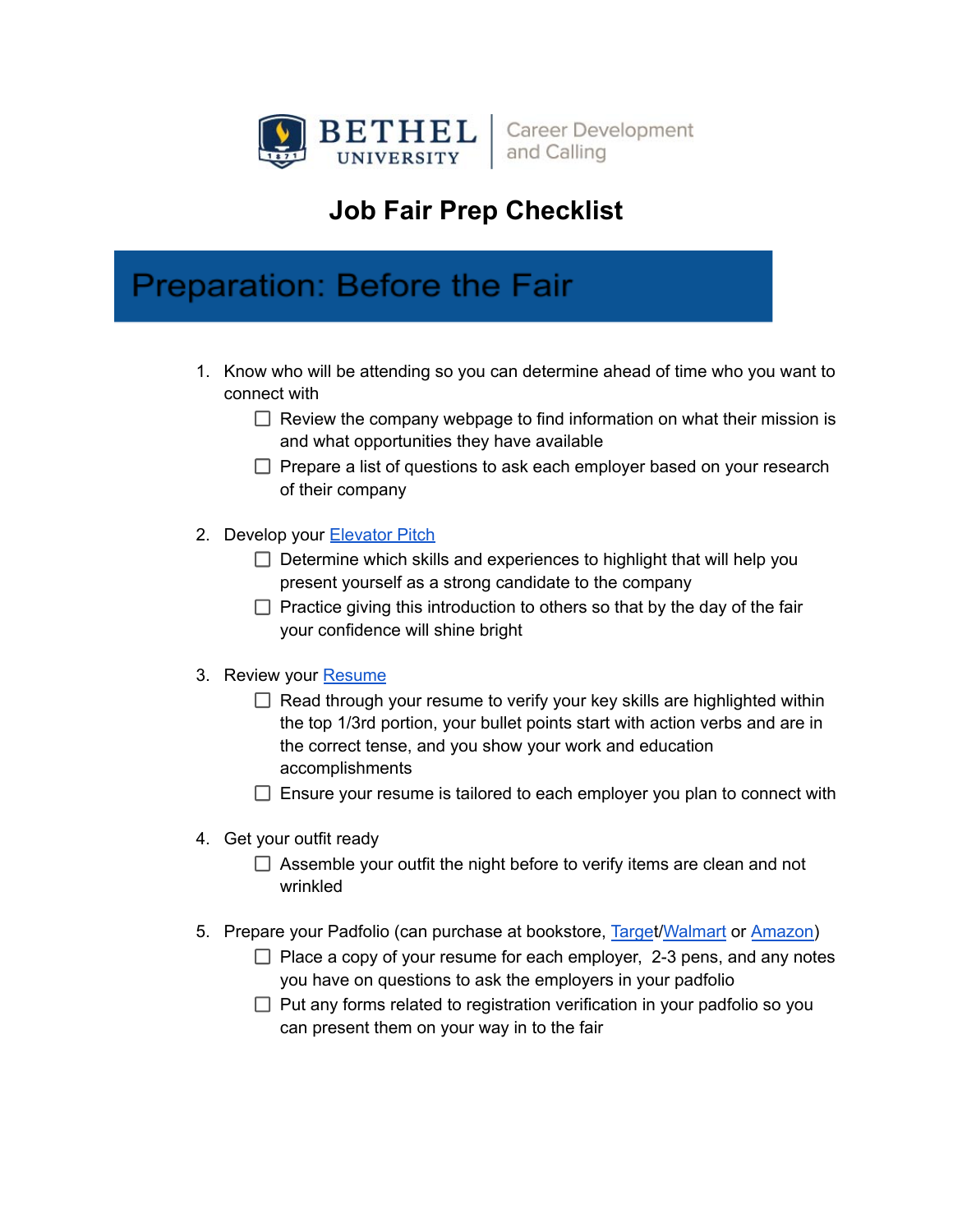

**Career Development** and Calling

### **Job Fair Prep Checklist**

### **Preparation: Before the Fair**

- 1. Know who will be attending so you can determine ahead of time who you want to connect with
	- $\Box$  Review the company webpage to find information on what their mission is and what opportunities they have available
	- $\Box$  Prepare a list of questions to ask each employer based on your research of their company
- 2. Develop your [Elevator](https://www.bethel.edu/career-development/students/resources/elevator-pitch.pdf) Pitch
	- $\Box$  Determine which skills and experiences to highlight that will help you present yourself as a strong candidate to the company
	- $\Box$  Practice giving this introduction to others so that by the day of the fair your confidence will shine bright
- 3. Review your [Resume](https://www.bethel.edu/career-development/students/resources/resumes/)
	- $\Box$  Read through your resume to verify your key skills are highlighted within the top 1/3rd portion, your bullet points start with action verbs and are in the correct tense, and you show your work and education accomplishments
	- $\Box$  Ensure your resume is tailored to each employer you plan to connect with
- 4. Get your outfit ready
	- $\Box$  Assemble your outfit the night before to verify items are clean and not wrinkled
- 5. Prepare your Padfolio (can purchase at bookstore, [Targe](https://www.target.com/p/case-it-letter-size-black-faux-leather-padfolio/-/A-14545348#lnk=sametab)t[/Walmart](https://www.walmart.com/ip/Pen-Gear-Padfolio-Black/818646985?wmlspartner=wlpa&selectedSellerId=0&&adid=22222222227521420808&wl0=&wl1=g&wl2=c&wl3=562571991734&wl4=pla-1464607864218&wl5=2840&wl6=&wl7=&wl8=&wl9=pla&wl10=8175035&wl11=online&wl12=818646985&veh=sem&gclid=CjwKCAiAsNKQBhAPEiwAB-I5zYc1WeRc0cMW1jjmB9jv7GAsEcBqHqRNOPlSx8LHOv8H7H4rkMjmwxoCBH8QAvD_BwE&gclsrc=aw.ds) or [Amazon](https://www.amazon.com/AmazonBasics-PR-02-Professional-Padfolio/dp/B0879Y7BJC/ref=sr_1_1_sspa?crid=36QC0QNURAS3Y&keywords=padfolio&qid=1645553509&sprefix=padfolio%2Caps%2C145&sr=8-1-spons&psc=1&spLa=ZW5jcnlwdGVkUXVhbGlmaWVyPUExQUg4TlY2RjVCRkxTJmVuY3J5cHRlZElkPUEwMTExMzE1M1RCUjA1RVBLWERSWCZlbmNyeXB0ZWRBZElkPUEwMzM4NjkyMU5XR0ZDNEkyQ0lQUCZ3aWRnZXROYW1lPXNwX2F0ZiZhY3Rpb249Y2xpY2tSZWRpcmVjdCZkb05vdExvZ0NsaWNrPXRydWU=))
	- $\Box$  Place a copy of your resume for each employer, 2-3 pens, and any notes you have on questions to ask the employers in your padfolio
	- $\Box$  Put any forms related to registration verification in your padfolio so you can present them on your way in to the fair